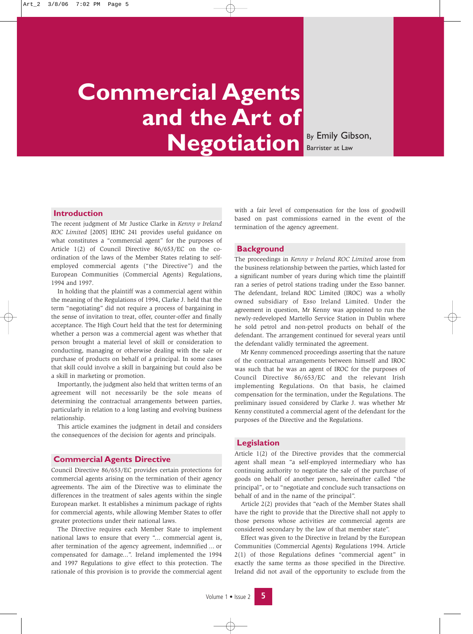# **Commercial Agents and the Art of Negotiation** By Emily Gibson,

Barrister at Law

## **Introduction**

The recent judgment of Mr Justice Clarke in *Kenny v Ireland ROC Limited* [2005] IEHC 241 provides useful guidance on what constitutes a "commercial agent" for the purposes of Article 1(2) of Council Directive 86/653/EC on the coordination of the laws of the Member States relating to selfemployed commercial agents ("the Directive") and the European Communities (Commercial Agents) Regulations, 1994 and 1997.

In holding that the plaintiff was a commercial agent within the meaning of the Regulations of 1994, Clarke J. held that the term "negotiating" did not require a process of bargaining in the sense of invitation to treat, offer, counter-offer and finally acceptance. The High Court held that the test for determining whether a person was a commercial agent was whether that person brought a material level of skill or consideration to conducting, managing or otherwise dealing with the sale or purchase of products on behalf of a principal. In some cases that skill could involve a skill in bargaining but could also be a skill in marketing or promotion.

Importantly, the judgment also held that written terms of an agreement will not necessarily be the sole means of determining the contractual arrangements between parties, particularly in relation to a long lasting and evolving business relationship.

This article examines the judgment in detail and considers the consequences of the decision for agents and principals.

## **Commercial Agents Directive**

Council Directive 86/653/EC provides certain protections for commercial agents arising on the termination of their agency agreements. The aim of the Directive was to eliminate the differences in the treatment of sales agents within the single European market. It establishes a minimum package of rights for commercial agents, while allowing Member States to offer greater protections under their national laws.

The Directive requires each Member State to implement national laws to ensure that every "... commercial agent is, after termination of the agency agreement, indemnified ... or compensated for damage...". Ireland implemented the 1994 and 1997 Regulations to give effect to this protection. The rationale of this provision is to provide the commercial agent

with a fair level of compensation for the loss of goodwill based on past commissions earned in the event of the termination of the agency agreement.

#### **Background**

The proceedings in *Kenny v Ireland ROC Limited* arose from the business relationship between the parties, which lasted for a significant number of years during which time the plaintiff ran a series of petrol stations trading under the Esso banner. The defendant, Ireland ROC Limited (IROC) was a wholly owned subsidiary of Esso Ireland Limited. Under the agreement in question, Mr Kenny was appointed to run the newly-redeveloped Martello Service Station in Dublin where he sold petrol and non-petrol products on behalf of the defendant. The arrangement continued for several years until the defendant validly terminated the agreement.

Mr Kenny commenced proceedings asserting that the nature of the contractual arrangements between himself and IROC was such that he was an agent of IROC for the purposes of Council Directive 86/653/EC and the relevant Irish implementing Regulations. On that basis, he claimed compensation for the termination, under the Regulations. The preliminary issued considered by Clarke J. was whether Mr Kenny constituted a commercial agent of the defendant for the purposes of the Directive and the Regulations.

## **Legislation**

Article 1(2) of the Directive provides that the commercial agent shall mean "a self-employed intermediary who has continuing authority to negotiate the sale of the purchase of goods on behalf of another person, hereinafter called "the principal", or to "negotiate and conclude such transactions on behalf of and in the name of the principal".

Article 2(2) provides that "each of the Member States shall have the right to provide that the Directive shall not apply to those persons whose activities are commercial agents are considered secondary by the law of that member state".

Effect was given to the Directive in Ireland by the European Communities (Commercial Agents) Regulations 1994. Article 2(1) of those Regulations defines "commercial agent" in exactly the same terms as those specified in the Directive. Ireland did not avail of the opportunity to exclude from the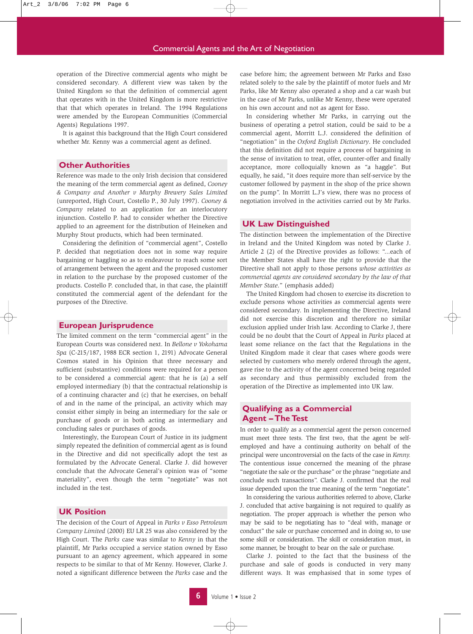operation of the Directive commercial agents who might be considered secondary. A different view was taken by the United Kingdom so that the definition of commercial agent that operates with in the United Kingdom is more restrictive that that which operates in Ireland. The 1994 Regulations were amended by the European Communities (Commercial Agents) Regulations 1997.

It is against this background that the High Court considered whether Mr. Kenny was a commercial agent as defined.

## **Other Authorities**

Reference was made to the only Irish decision that considered the meaning of the term commercial agent as defined, *Cooney & Company and Another v Murphy Brewery Sales Limited* (unreported, High Court, Costello P., 30 July 1997). *Cooney & Company* related to an application for an interlocutory injunction. Costello P. had to consider whether the Directive applied to an agreement for the distribution of Heineken and Murphy Stout products, which had been terminated.

Considering the definition of "commercial agent", Costello P. decided that negotiation does not in some way require bargaining or haggling so as to endeavour to reach some sort of arrangement between the agent and the proposed customer in relation to the purchase by the proposed customer of the products. Costello P. concluded that, in that case, the plaintiff constituted the commercial agent of the defendant for the purposes of the Directive.

## **European Jurisprudence**

The limited comment on the term "commercial agent" in the European Courts was considered next. In *Bellone v Yokohama Spa* (C-215/187, 1988 ECR section 1, 2191) Advocate General Cosmos stated in his Opinion that three necessary and sufficient (substantive) conditions were required for a person to be considered a commercial agent: that he is (a) a self employed intermediary (b) that the contractual relationship is of a continuing character and (c) that he exercises, on behalf of and in the name of the principal, an activity which may consist either simply in being an intermediary for the sale or purchase of goods or in both acting as intermediary and concluding sales or purchases of goods.

Interestingly, the European Court of Justice in its judgment simply repeated the definition of commercial agent as is found in the Directive and did not specifically adopt the test as formulated by the Advocate General. Clarke J. did however conclude that the Advocate General's opinion was of "some materiality", even though the term "negotiate" was not included in the test.

## **UK Position**

The decision of the Court of Appeal in *Parks v Esso Petroleum Company Limited* (2000) EU LR 25 was also considered by the High Court. The *Parks* case was similar to *Kenny* in that the plaintiff, Mr Parks occupied a service station owned by Esso pursuant to an agency agreement, which appeared in some respects to be similar to that of Mr Kenny. However, Clarke J. noted a significant difference between the *Parks* case and the case before him; the agreement between Mr Parks and Esso related solely to the sale by the plaintiff of motor fuels and Mr Parks, like Mr Kenny also operated a shop and a car wash but in the case of Mr Parks, unlike Mr Kenny, these were operated on his own account and not as agent for Esso.

In considering whether Mr Parks, in carrying out the business of operating a petrol station, could be said to be a commercial agent, Morritt L.J. considered the definition of "negotiation" in the *Oxford English Dictionary*. He concluded that this definition did not require a process of bargaining in the sense of invitation to treat, offer, counter-offer and finally acceptance, more colloquially known as "a haggle". But equally, he said, "it does require more than self-service by the customer followed by payment in the shop of the price shown on the pump". In Morritt L.J's view, there was no process of negotiation involved in the activities carried out by Mr Parks.

## **UK Law Distinguished**

The distinction between the implementation of the Directive in Ireland and the United Kingdom was noted by Clarke J. Article 2 (2) of the Directive provides as follows: "...each of the Member States shall have the right to provide that the Directive shall not apply to those persons *whose activities as commercial agents are considered secondary by the law of that Member State*." (emphasis added)

The United Kingdom had chosen to exercise its discretion to exclude persons whose activities as commercial agents were considered secondary. In implementing the Directive, Ireland did not exercise this discretion and therefore no similar exclusion applied under Irish law. According to Clarke J, there could be no doubt that the Court of Appeal in *Parks* placed at least some reliance on the fact that the Regulations in the United Kingdom made it clear that cases where goods were selected by customers who merely ordered through the agent, gave rise to the activity of the agent concerned being regarded as secondary and thus permissibly excluded from the operation of the Directive as implemented into UK law.

# **Qualifying as a Commercial Agent – The Test**

In order to qualify as a commercial agent the person concerned must meet three tests. The first two, that the agent be selfemployed and have a continuing authority on behalf of the principal were uncontroversial on the facts of the case in *Kenny.* The contentious issue concerned the meaning of the phrase "negotiate the sale or the purchase" or the phrase "negotiate and conclude such transactions". Clarke J. confirmed that the real issue depended upon the true meaning of the term "negotiate".

In considering the various authorities referred to above, Clarke J. concluded that active bargaining is not required to qualify as negotiation. The proper approach is whether the person who may be said to be negotiating has to "deal with, manage or conduct" the sale or purchase concerned and in doing so, to use some skill or consideration. The skill or consideration must, in some manner, be brought to bear on the sale or purchase.

Clarke J. pointed to the fact that the business of the purchase and sale of goods is conducted in very many different ways. It was emphasised that in some types of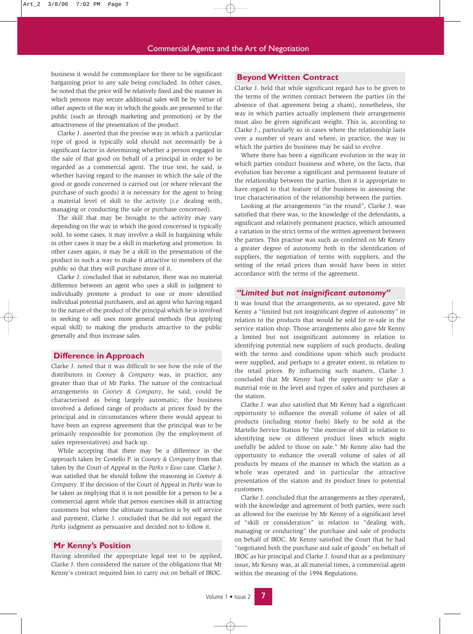business it would be commonplace for there to be significant bargaining prior to any sale being concluded. In other cases, he noted that the price will be relatively fixed and the manner in which persons may secure additional sales will be by virtue of other aspects of the way in which the goods are presented to the public (such as through marketing and promotion) or by the attractiveness of the presentation of the product.

Clarke J. asserted that the precise way in which a particular type of good is typically sold should not necessarily be a significant factor in determining whether a person engaged in the sale of that good on behalf of a principal in order to be regarded as a commercial agent. The true test, he said, is whether having regard to the manner in which the sale of the good or goods concerned is carried out (or where relevant the purchase of such goods) it is necessary for the agent to bring a material level of skill to the activity (*i.e.* dealing with, managing or conducting the sale or purchase concerned).

The skill that may be brought to the activity may vary depending on the way in which the good concerned is typically sold. In some cases, it may involve a skill in bargaining while in other cases it may be a skill in marketing and promotion. In other cases again, it may be a skill in the presentation of the product in such a way to make it attractive to members of the public so that they will purchase more of it.

Clarke J. concluded that in substance, there was no material difference between an agent who uses a skill in judgment to individually promote a product to one or more identified individual potential purchasers, and an agent who having regard to the nature of the product of the principal which he is involved in seeking to sell uses more general methods (but applying equal skill) to making the products attractive to the public generally and thus increase sales.

#### **Difference in Approach**

Clarke J. noted that it was difficult to see how the role of the distributors in *Cooney & Company* was, in practice, any greater than that of Mr Parks. The nature of the contractual arrangements in *Cooney & Company*, he said, could be characterised as being largely automatic; the business involved a defined range of products at prices fixed by the principal and in circumstances where there would appear to have been an express agreement that the principal was to be primarily responsible for promotion (by the employment of sales representatives) and back-up.

While accepting that there may be a difference in the approach taken by Costello P. in *Cooney & Company* from that taken by the Court of Appeal in the *Parks v Esso* case. Clarke J. was satisfied that he should follow the reasoning in *Cooney & Company*. If the decision of the Court of Appeal in *Parks* was to be taken as implying that it is not possible for a person to be a commercial agent while that person exercises skill in attracting customers but where the ultimate transaction is by self service and payment, Clarke J. concluded that he did not regard the *Parks* judgment as persuasive and decided not to follow it.

## **Mr Kenny's Position**

Having identified the appropriate legal test to be applied, Clarke J. then considered the nature of the obligations that Mr Kenny's contract required him to carry out on behalf of IROC.

# **Beyond Written Contract**

Clarke J. held that while significant regard has to be given to the terms of the written contract between the parties (in the absence of that agreement being a sham), nonetheless, the way in which parties actually implement their arrangements must also be given significant weight. This is, according to Clarke J., particularly so in cases where the relationship lasts over a number of years and where, in practice, the way in which the parties do business may be said to evolve.

Where there has been a significant evolution in the way in which parties conduct business and where, on the facts, that evolution has become a significant and permanent feature of the relationship between the parties, then it is appropriate to have regard to that feature of the business in assessing the true characterisation of the relationship between the parties.

Looking at the arrangements "in the round", Clarke J. was satisfied that there was, to the knowledge of the defendants, a significant and relatively permanent practice, which amounted a variation in the strict terms of the written agreement between the parties. This practise was such as conferred on Mr Kenny a greater degree of autonomy both in the identification of suppliers, the negotiation of terms with suppliers, and the setting of the retail prices than would have been in strict accordance with the terms of the agreement.

## *"Limited but not insignificant autonomy"*

It was found that the arrangements, as so operated, gave Mr Kenny a "limited but not insignificant degree of autonomy" in relation to the products that would be sold for re-sale in the service station shop. Those arrangements also gave Mr Kenny a limited but not insignificant autonomy in relation to identifying potential new suppliers of such products, dealing with the terms and conditions upon which such products were supplied, and perhaps to a greater extent, in relation to the retail prices. By influencing such matters, Clarke J. concluded that Mr Kenny had the opportunity to play a material role in the level and types of sales and purchases at the station.

Clarke J. was also satisfied that Mr Kenny had a significant opportunity to influence the overall volume of sales of all products (including motor fuels) likely to be sold at the Martello Service Station by "the exercise of skill in relation to identifying new or different product lines which might usefully be added to those on sale." Mr Kenny also had the opportunity to enhance the overall volume of sales of all products by means of the manner in which the station as a whole was operated and in particular the attractive presentation of the station and its product lines to potential customers.

Clarke J. concluded that the arrangements as they operated, with the knowledge and agreement of both parties, were such as allowed for the exercise by Mr Kenny of a significant level of "skill or consideration" in relation to "dealing with, managing or conducting" the purchase and sale of products on behalf of IROC. Mr Kenny satisfied the Court that he had "negotiated both the purchase and sale of goods" on behalf of IROC as his principal and Clarke J. found that as a preliminary issue, Mr Kenny was, at all material times, a commercial agent within the meaning of the 1994 Regulations.